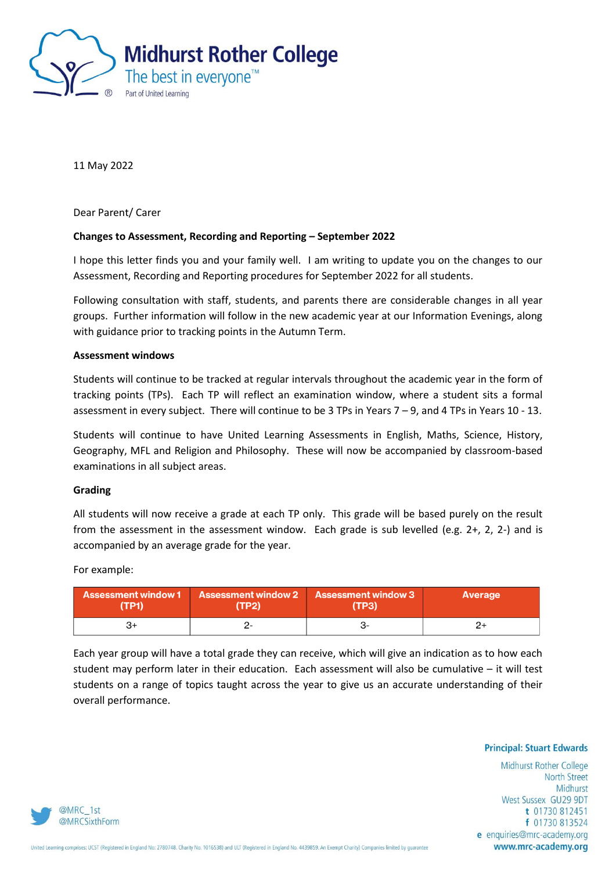

11 May 2022

Dear Parent/ Carer

# **Changes to Assessment, Recording and Reporting – September 2022**

I hope this letter finds you and your family well. I am writing to update you on the changes to our Assessment, Recording and Reporting procedures for September 2022 for all students.

Following consultation with staff, students, and parents there are considerable changes in all year groups. Further information will follow in the new academic year at our Information Evenings, along with guidance prior to tracking points in the Autumn Term.

### **Assessment windows**

Students will continue to be tracked at regular intervals throughout the academic year in the form of tracking points (TPs). Each TP will reflect an examination window, where a student sits a formal assessment in every subject. There will continue to be 3 TPs in Years 7 – 9, and 4 TPs in Years 10 - 13.

Students will continue to have United Learning Assessments in English, Maths, Science, History, Geography, MFL and Religion and Philosophy. These will now be accompanied by classroom-based examinations in all subject areas.

## **Grading**

All students will now receive a grade at each TP only. This grade will be based purely on the result from the assessment in the assessment window. Each grade is sub levelled (e.g. 2+, 2, 2-) and is accompanied by an average grade for the year.

For example:

| <b>Assessment window 1</b> | Assessment window 2 | Assessment window 3 | <b>Average</b> |
|----------------------------|---------------------|---------------------|----------------|
| (TP1)                      | (TP2)               | (TP3)               |                |
|                            |                     |                     |                |

Each year group will have a total grade they can receive, which will give an indication as to how each student may perform later in their education. Each assessment will also be cumulative – it will test students on a range of topics taught across the year to give us an accurate understanding of their overall performance.

**Principal: Stuart Edwards** 

Midhurst Rother College **North Street** Midhurst West Sussex GU29 9DT t 01730 812451 f 01730 813524 e enquiries@mrc-academy.org www.mrc-academy.org